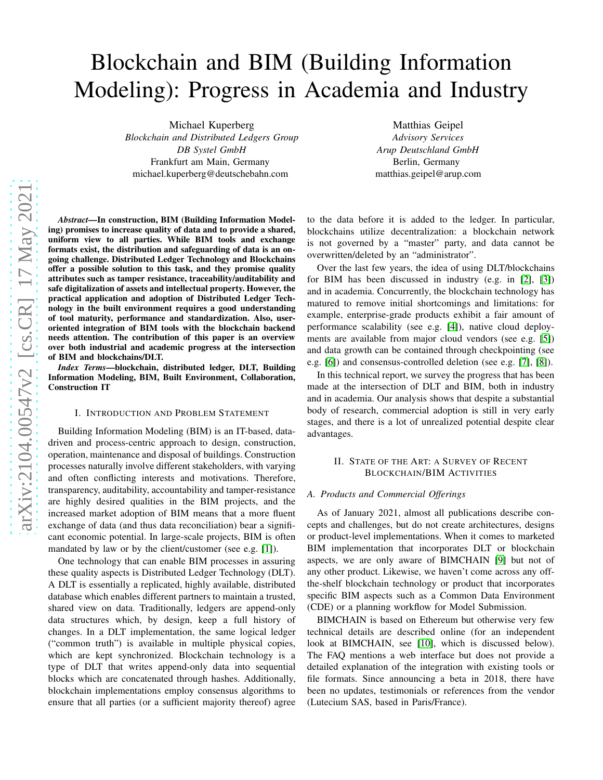# Blockchain and BIM (Building Information Modeling): Progress in Academia and Industry

Michael Kuperberg *Blockchain and Distributed Ledgers Group DB Systel GmbH* Frankfurt am Main, Germany michael.kuperberg@deutschebahn.com

Matthias Geipel *Advisory Services Arup Deutschland GmbH* Berlin, Germany matthias.geipel@arup.com

*Abstract*—In construction, BIM (Building Information Modeling) promises to increase quality of data and to provide a shared, uniform view to all parties. While BIM tools and exchange formats exist, the distribution and safeguarding of data is an ongoing challenge. Distributed Ledger Technology and Blockchains offer a possible solution to this task, and they promise quality attributes such as tamper resistance, traceability/auditability and safe digitalization of assets and intellectual property. However, the practical application and adoption of Distributed Ledger Technology in the built environment requires a good understanding of tool maturity, performance and standardization. Also, useroriented integration of BIM tools with the blockchain backend needs attention. The contribution of this paper is an overview over both industrial and academic progress at the intersection of BIM and blockchains/DLT.

*Index Terms*—blockchain, distributed ledger, DLT, Building Information Modeling, BIM, Built Environment, Collaboration, Construction IT

### I. INTRODUCTION AND PROBLEM STATEMENT

Building Information Modeling (BIM) is an IT-based, datadriven and process-centric approach to design, construction, operation, maintenance and disposal of buildings. Construction processes naturally involve different stakeholders, with varying and often conflicting interests and motivations. Therefore, transparency, auditability, accountability and tamper-resistance are highly desired qualities in the BIM projects, and the increased market adoption of BIM means that a more fluent exchange of data (and thus data reconciliation) bear a significant economic potential. In large-scale projects, BIM is often mandated by law or by the client/customer (see e.g. [\[1\]](#page-4-0)).

One technology that can enable BIM processes in assuring these quality aspects is Distributed Ledger Technology (DLT). A DLT is essentially a replicated, highly available, distributed database which enables different partners to maintain a trusted, shared view on data. Traditionally, ledgers are append-only data structures which, by design, keep a full history of changes. In a DLT implementation, the same logical ledger ("common truth") is available in multiple physical copies, which are kept synchronized. Blockchain technology is a type of DLT that writes append-only data into sequential blocks which are concatenated through hashes. Additionally, blockchain implementations employ consensus algorithms to ensure that all parties (or a sufficient majority thereof) agree

to the data before it is added to the ledger. In particular, blockchains utilize decentralization: a blockchain network is not governed by a "master" party, and data cannot be overwritten/deleted by an "administrator".

Over the last few years, the idea of using DLT/blockchains for BIM has been discussed in industry (e.g. in [\[2\]](#page-4-1), [\[3\]](#page-4-2)) and in academia. Concurrently, the blockchain technology has matured to remove initial shortcomings and limitations: for example, enterprise-grade products exhibit a fair amount of performance scalability (see e.g. [\[4\]](#page-4-3)), native cloud deployments are available from major cloud vendors (see e.g. [\[5\]](#page-4-4)) and data growth can be contained through checkpointing (see e.g. [\[6\]](#page-4-5)) and consensus-controlled deletion (see e.g. [\[7\]](#page-4-6), [\[8\]](#page-4-7)).

In this technical report, we survey the progress that has been made at the intersection of DLT and BIM, both in industry and in academia. Our analysis shows that despite a substantial body of research, commercial adoption is still in very early stages, and there is a lot of unrealized potential despite clear advantages.

# II. STATE OF THE ART: A SURVEY OF RECENT BLOCKCHAIN/BIM ACTIVITIES

# <span id="page-0-0"></span>*A. Products and Commercial Offerings*

As of January 2021, almost all publications describe concepts and challenges, but do not create architectures, designs or product-level implementations. When it comes to marketed BIM implementation that incorporates DLT or blockchain aspects, we are only aware of BIMCHAIN [\[9\]](#page-4-8) but not of any other product. Likewise, we haven't come across any offthe-shelf blockchain technology or product that incorporates specific BIM aspects such as a Common Data Environment (CDE) or a planning workflow for Model Submission.

BIMCHAIN is based on Ethereum but otherwise very few technical details are described online (for an independent look at BIMCHAIN, see [\[10\]](#page-4-9), which is discussed below). The FAQ mentions a web interface but does not provide a detailed explanation of the integration with existing tools or file formats. Since announcing a beta in 2018, there have been no updates, testimonials or references from the vendor (Lutecium SAS, based in Paris/France).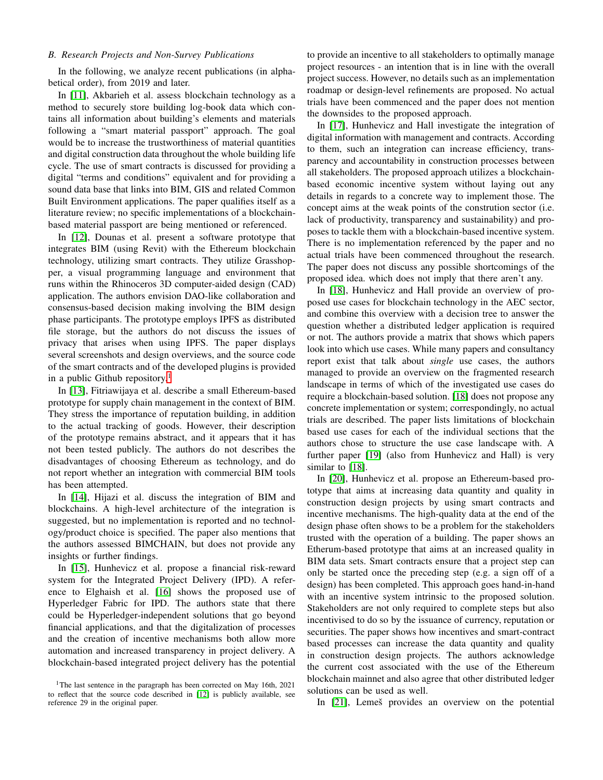# *B. Research Projects and Non-Survey Publications*

In the following, we analyze recent publications (in alphabetical order), from 2019 and later.

In [\[11\]](#page-4-10), Akbarieh et al. assess blockchain technology as a method to securely store building log-book data which contains all information about building's elements and materials following a "smart material passport" approach. The goal would be to increase the trustworthiness of material quantities and digital construction data throughout the whole building life cycle. The use of smart contracts is discussed for providing a digital "terms and conditions" equivalent and for providing a sound data base that links into BIM, GIS and related Common Built Environment applications. The paper qualifies itself as a literature review; no specific implementations of a blockchainbased material passport are being mentioned or referenced.

In [\[12\]](#page-4-11), Dounas et al. present a software prototype that integrates BIM (using Revit) with the Ethereum blockchain technology, utilizing smart contracts. They utilize Grasshopper, a visual programming language and environment that runs within the Rhinoceros 3D computer-aided design (CAD) application. The authors envision DAO-like collaboration and consensus-based decision making involving the BIM design phase participants. The prototype employs IPFS as distributed file storage, but the authors do not discuss the issues of privacy that arises when using IPFS. The paper displays several screenshots and design overviews, and the source code of the smart contracts and of the developed plugins is provided in a public Github repository.<sup>[1](#page-1-0)</sup>

In [\[13\]](#page-4-12), Fitriawijaya et al. describe a small Ethereum-based prototype for supply chain management in the context of BIM. They stress the importance of reputation building, in addition to the actual tracking of goods. However, their description of the prototype remains abstract, and it appears that it has not been tested publicly. The authors do not describes the disadvantages of choosing Ethereum as technology, and do not report whether an integration with commercial BIM tools has been attempted.

In [\[14\]](#page-4-13), Hijazi et al. discuss the integration of BIM and blockchains. A high-level architecture of the integration is suggested, but no implementation is reported and no technology/product choice is specified. The paper also mentions that the authors assessed BIMCHAIN, but does not provide any insights or further findings.

In [\[15\]](#page-4-14), Hunhevicz et al. propose a financial risk-reward system for the Integrated Project Delivery (IPD). A reference to Elghaish et al. [\[16\]](#page-5-0) shows the proposed use of Hyperledger Fabric for IPD. The authors state that there could be Hyperledger-independent solutions that go beyond financial applications, and that the digitalization of processes and the creation of incentive mechanisms both allow more automation and increased transparency in project delivery. A blockchain-based integrated project delivery has the potential to provide an incentive to all stakeholders to optimally manage project resources - an intention that is in line with the overall project success. However, no details such as an implementation roadmap or design-level refinements are proposed. No actual trials have been commenced and the paper does not mention the downsides to the proposed approach.

In [\[17\]](#page-5-1), Hunhevicz and Hall investigate the integration of digital information with management and contracts. According to them, such an integration can increase efficiency, transparency and accountability in construction processes between all stakeholders. The proposed approach utilizes a blockchainbased economic incentive system without laying out any details in regards to a concrete way to implement those. The concept aims at the weak points of the constrution sector (i.e. lack of productivity, transparency and sustainability) and proposes to tackle them with a blockchain-based incentive system. There is no implementation referenced by the paper and no actual trials have been commenced throughout the research. The paper does not discuss any possible shortcomings of the proposed idea. which does not imply that there aren't any.

In [\[18\]](#page-5-2), Hunhevicz and Hall provide an overview of proposed use cases for blockchain technology in the AEC sector, and combine this overview with a decision tree to answer the question whether a distributed ledger application is required or not. The authors provide a matrix that shows which papers look into which use cases. While many papers and consultancy report exist that talk about *single* use cases, the authors managed to provide an overview on the fragmented research landscape in terms of which of the investigated use cases do require a blockchain-based solution. [\[18\]](#page-5-2) does not propose any concrete implementation or system; correspondingly, no actual trials are described. The paper lists limitations of blockchain based use cases for each of the individual sections that the authors chose to structure the use case landscape with. A further paper [\[19\]](#page-5-3) (also from Hunhevicz and Hall) is very similar to [\[18\]](#page-5-2).

In [\[20\]](#page-5-4), Hunhevicz et al. propose an Ethereum-based prototype that aims at increasing data quantity and quality in construction design projects by using smart contracts and incentive mechanisms. The high-quality data at the end of the design phase often shows to be a problem for the stakeholders trusted with the operation of a building. The paper shows an Etherum-based prototype that aims at an increased quality in BIM data sets. Smart contracts ensure that a project step can only be started once the preceding step (e.g. a sign off of a design) has been completed. This approach goes hand-in-hand with an incentive system intrinsic to the proposed solution. Stakeholders are not only required to complete steps but also incentivised to do so by the issuance of currency, reputation or securities. The paper shows how incentives and smart-contract based processes can increase the data quantity and quality in construction design projects. The authors acknowledge the current cost associated with the use of the Ethereum blockchain mainnet and also agree that other distributed ledger solutions can be used as well.

In [\[21\]](#page-5-5), Lemeš provides an overview on the potential

<span id="page-1-0"></span><sup>&</sup>lt;sup>1</sup>The last sentence in the paragraph has been corrected on May 16th, 2021 to reflect that the source code described in [\[12\]](#page-4-11) is publicly available, see reference 29 in the original paper.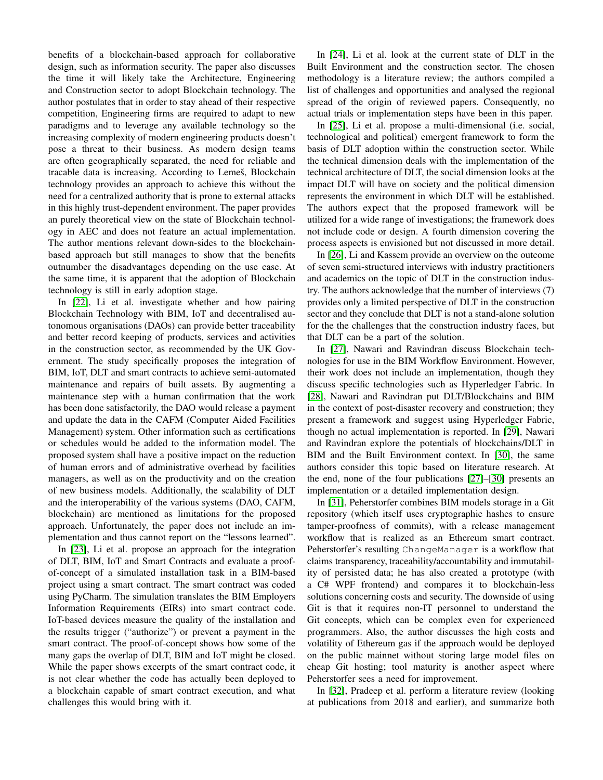benefits of a blockchain-based approach for collaborative design, such as information security. The paper also discusses the time it will likely take the Architecture, Engineering and Construction sector to adopt Blockchain technology. The author postulates that in order to stay ahead of their respective competition, Engineering firms are required to adapt to new paradigms and to leverage any available technology so the increasing complexity of modern engineering products doesn't pose a threat to their business. As modern design teams are often geographically separated, the need for reliable and tracable data is increasing. According to Lemeš, Blockchain technology provides an approach to achieve this without the need for a centralized authority that is prone to external attacks in this highly trust-dependent environment. The paper provides an purely theoretical view on the state of Blockchain technology in AEC and does not feature an actual implementation. The author mentions relevant down-sides to the blockchainbased approach but still manages to show that the benefits outnumber the disadvantages depending on the use case. At the same time, it is apparent that the adoption of Blockchain technology is still in early adoption stage.

In [\[22\]](#page-5-6), Li et al. investigate whether and how pairing Blockchain Technology with BIM, IoT and decentralised autonomous organisations (DAOs) can provide better traceability and better record keeping of products, services and activities in the construction sector, as recommended by the UK Government. The study specifically proposes the integration of BIM, IoT, DLT and smart contracts to achieve semi-automated maintenance and repairs of built assets. By augmenting a maintenance step with a human confirmation that the work has been done satisfactorily, the DAO would release a payment and update the data in the CAFM (Computer Aided Facilities Management) system. Other information such as certifications or schedules would be added to the information model. The proposed system shall have a positive impact on the reduction of human errors and of administrative overhead by facilities managers, as well as on the productivity and on the creation of new business models. Additionally, the scalability of DLT and the interoperability of the various systems (DAO, CAFM, blockchain) are mentioned as limitations for the proposed approach. Unfortunately, the paper does not include an implementation and thus cannot report on the "lessons learned".

In [\[23\]](#page-5-7), Li et al. propose an approach for the integration of DLT, BIM, IoT and Smart Contracts and evaluate a proofof-concept of a simulated installation task in a BIM-based project using a smart contract. The smart contract was coded using PyCharm. The simulation translates the BIM Employers Information Requirements (EIRs) into smart contract code. IoT-based devices measure the quality of the installation and the results trigger ("authorize") or prevent a payment in the smart contract. The proof-of-concept shows how some of the many gaps the overlap of DLT, BIM and IoT might be closed. While the paper shows excerpts of the smart contract code, it is not clear whether the code has actually been deployed to a blockchain capable of smart contract execution, and what challenges this would bring with it.

In [\[24\]](#page-5-8), Li et al. look at the current state of DLT in the Built Environment and the construction sector. The chosen methodology is a literature review; the authors compiled a list of challenges and opportunities and analysed the regional spread of the origin of reviewed papers. Consequently, no actual trials or implementation steps have been in this paper.

In [\[25\]](#page-5-9), Li et al. propose a multi-dimensional (i.e. social, technological and political) emergent framework to form the basis of DLT adoption within the construction sector. While the technical dimension deals with the implementation of the technical architecture of DLT, the social dimension looks at the impact DLT will have on society and the political dimension represents the environment in which DLT will be established. The authors expect that the proposed framework will be utilized for a wide range of investigations; the framework does not include code or design. A fourth dimension covering the process aspects is envisioned but not discussed in more detail.

In [\[26\]](#page-5-10), Li and Kassem provide an overview on the outcome of seven semi-structured interviews with industry practitioners and academics on the topic of DLT in the construction industry. The authors acknowledge that the number of interviews (7) provides only a limited perspective of DLT in the construction sector and they conclude that DLT is not a stand-alone solution for the the challenges that the construction industry faces, but that DLT can be a part of the solution.

In [\[27\]](#page-5-11), Nawari and Ravindran discuss Blockchain technologies for use in the BIM Workflow Environment. However, their work does not include an implementation, though they discuss specific technologies such as Hyperledger Fabric. In [\[28\]](#page-5-12), Nawari and Ravindran put DLT/Blockchains and BIM in the context of post-disaster recovery and construction; they present a framework and suggest using Hyperledger Fabric, though no actual implementation is reported. In [\[29\]](#page-5-13), Nawari and Ravindran explore the potentials of blockchains/DLT in BIM and the Built Environment context. In [\[30\]](#page-5-14), the same authors consider this topic based on literature research. At the end, none of the four publications [\[27\]](#page-5-11)–[\[30\]](#page-5-14) presents an implementation or a detailed implementation design.

In [\[31\]](#page-5-15), Peherstorfer combines BIM models storage in a Git repository (which itself uses cryptographic hashes to ensure tamper-proofness of commits), with a release management workflow that is realized as an Ethereum smart contract. Peherstorfer's resulting ChangeManager is a workflow that claims transparency, traceability/accountability and immutability of persisted data; he has also created a prototype (with a C# WPF frontend) and compares it to blockchain-less solutions concerning costs and security. The downside of using Git is that it requires non-IT personnel to understand the Git concepts, which can be complex even for experienced programmers. Also, the author discusses the high costs and volatility of Ethereum gas if the approach would be deployed on the public mainnet without storing large model files on cheap Git hosting; tool maturity is another aspect where Peherstorfer sees a need for improvement.

In [\[32\]](#page-5-16), Pradeep et al. perform a literature review (looking at publications from 2018 and earlier), and summarize both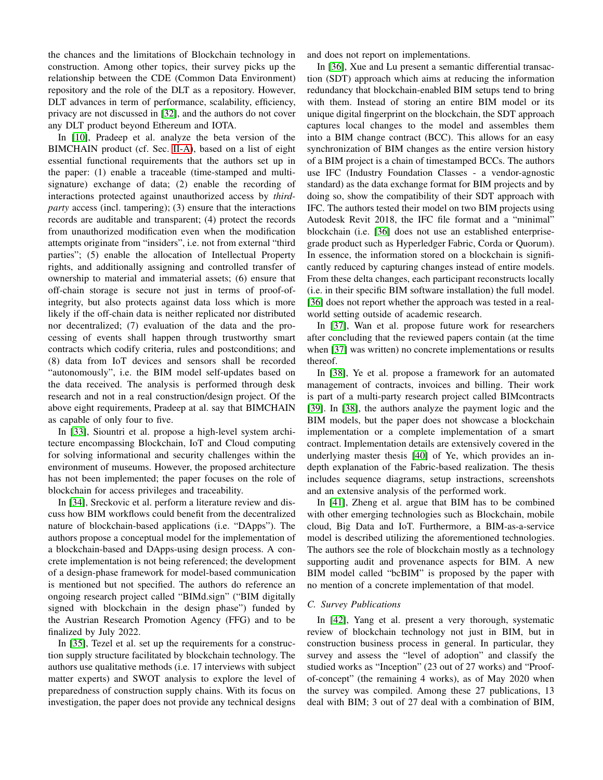the chances and the limitations of Blockchain technology in construction. Among other topics, their survey picks up the relationship between the CDE (Common Data Environment) repository and the role of the DLT as a repository. However, DLT advances in term of performance, scalability, efficiency, privacy are not discussed in [\[32\]](#page-5-16), and the authors do not cover any DLT product beyond Ethereum and IOTA.

In [\[10\]](#page-4-9), Pradeep et al. analyze the beta version of the BIMCHAIN product (cf. Sec. [II-A\)](#page-0-0), based on a list of eight essential functional requirements that the authors set up in the paper: (1) enable a traceable (time-stamped and multisignature) exchange of data; (2) enable the recording of interactions protected against unauthorized access by *thirdparty* access (incl. tampering); (3) ensure that the interactions records are auditable and transparent; (4) protect the records from unauthorized modification even when the modification attempts originate from "insiders", i.e. not from external "third parties"; (5) enable the allocation of Intellectual Property rights, and additionally assigning and controlled transfer of ownership to material and immaterial assets; (6) ensure that off-chain storage is secure not just in terms of proof-ofintegrity, but also protects against data loss which is more likely if the off-chain data is neither replicated nor distributed nor decentralized; (7) evaluation of the data and the processing of events shall happen through trustworthy smart contracts which codify criteria, rules and postconditions; and (8) data from IoT devices and sensors shall be recorded "autonomously", i.e. the BIM model self-updates based on the data received. The analysis is performed through desk research and not in a real construction/design project. Of the above eight requirements, Pradeep at al. say that BIMCHAIN as capable of only four to five.

In [\[33\]](#page-5-17), Siountri et al. propose a high-level system architecture encompassing Blockchain, IoT and Cloud computing for solving informational and security challenges within the environment of museums. However, the proposed architecture has not been implemented; the paper focuses on the role of blockchain for access privileges and traceability.

In [\[34\]](#page-5-18), Sreckovic et al. perform a literature review and discuss how BIM workflows could benefit from the decentralized nature of blockchain-based applications (i.e. "DApps"). The authors propose a conceptual model for the implementation of a blockchain-based and DApps-using design process. A concrete implementation is not being referenced; the development of a design-phase framework for model-based communication is mentioned but not specified. The authors do reference an ongoing research project called "BIMd.sign" ("BIM digitally signed with blockchain in the design phase") funded by the Austrian Research Promotion Agency (FFG) and to be finalized by July 2022.

In [\[35\]](#page-5-19), Tezel et al. set up the requirements for a construction supply structure facilitated by blockchain technology. The authors use qualitative methods (i.e. 17 interviews with subject matter experts) and SWOT analysis to explore the level of preparedness of construction supply chains. With its focus on investigation, the paper does not provide any technical designs

and does not report on implementations.

In [\[36\]](#page-5-20), Xue and Lu present a semantic differential transaction (SDT) approach which aims at reducing the information redundancy that blockchain-enabled BIM setups tend to bring with them. Instead of storing an entire BIM model or its unique digital fingerprint on the blockchain, the SDT approach captures local changes to the model and assembles them into a BIM change contract (BCC). This allows for an easy synchronization of BIM changes as the entire version history of a BIM project is a chain of timestamped BCCs. The authors use IFC (Industry Foundation Classes - a vendor-agnostic standard) as the data exchange format for BIM projects and by doing so, show the compatibility of their SDT approach with IFC. The authors tested their model on two BIM projects using Autodesk Revit 2018, the IFC file format and a "minimal" blockchain (i.e. [\[36\]](#page-5-20) does not use an established enterprisegrade product such as Hyperledger Fabric, Corda or Quorum). In essence, the information stored on a blockchain is significantly reduced by capturing changes instead of entire models. From these delta changes, each participant reconstructs locally (i.e. in their specific BIM software installation) the full model. [\[36\]](#page-5-20) does not report whether the approach was tested in a realworld setting outside of academic research.

In [\[37\]](#page-5-21), Wan et al. propose future work for researchers after concluding that the reviewed papers contain (at the time when [\[37\]](#page-5-21) was written) no concrete implementations or results thereof.

In [\[38\]](#page-5-22), Ye et al. propose a framework for an automated management of contracts, invoices and billing. Their work is part of a multi-party research project called BIMcontracts [\[39\]](#page-5-23). In [\[38\]](#page-5-22), the authors analyze the payment logic and the BIM models, but the paper does not showcase a blockchain implementation or a complete implementation of a smart contract. Implementation details are extensively covered in the underlying master thesis [\[40\]](#page-5-24) of Ye, which provides an indepth explanation of the Fabric-based realization. The thesis includes sequence diagrams, setup instractions, screenshots and an extensive analysis of the performed work.

In [\[41\]](#page-5-25), Zheng et al. argue that BIM has to be combined with other emerging technologies such as Blockchain, mobile cloud, Big Data and IoT. Furthermore, a BIM-as-a-service model is described utilizing the aforementioned technologies. The authors see the role of blockchain mostly as a technology supporting audit and provenance aspects for BIM. A new BIM model called "bcBIM" is proposed by the paper with no mention of a concrete implementation of that model.

# *C. Survey Publications*

In [\[42\]](#page-5-26), Yang et al. present a very thorough, systematic review of blockchain technology not just in BIM, but in construction business process in general. In particular, they survey and assess the "level of adoption" and classify the studied works as "Inception" (23 out of 27 works) and "Proofof-concept" (the remaining 4 works), as of May 2020 when the survey was compiled. Among these 27 publications, 13 deal with BIM; 3 out of 27 deal with a combination of BIM,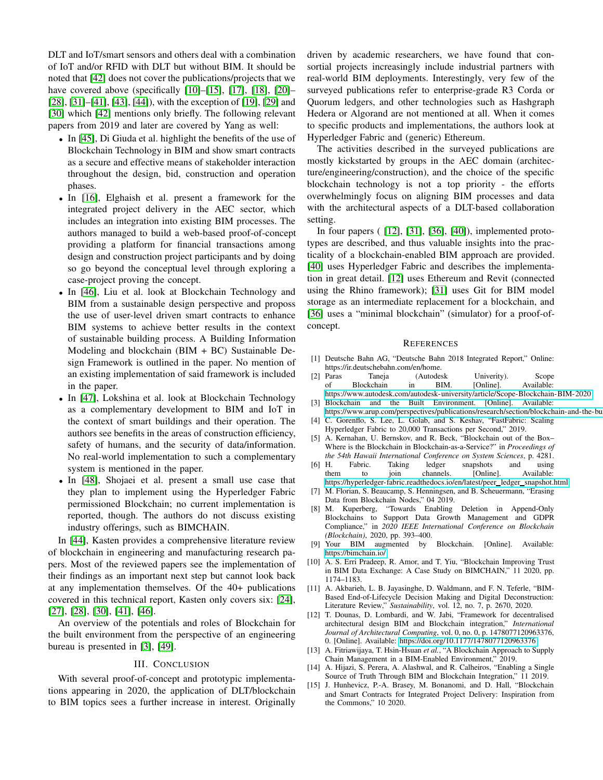DLT and IoT/smart sensors and others deal with a combination of IoT and/or RFID with DLT but without BIM. It should be noted that [\[42\]](#page-5-26) does not cover the publications/projects that we have covered above (specifically [\[10\]](#page-4-9)–[\[15\]](#page-4-14), [\[17\]](#page-5-1), [\[18\]](#page-5-2), [\[20\]](#page-5-4)– [\[28\]](#page-5-12), [\[31\]](#page-5-15)–[\[41\]](#page-5-25), [\[43\]](#page-5-27), [\[44\]](#page-5-28)), with the exception of [\[19\]](#page-5-3), [\[29\]](#page-5-13) and [\[30\]](#page-5-14) which [\[42\]](#page-5-26) mentions only briefly. The following relevant papers from 2019 and later are covered by Yang as well:

- In [\[45\]](#page-5-29), Di Giuda et al. highlight the benefits of the use of Blockchain Technology in BIM and show smart contracts as a secure and effective means of stakeholder interaction throughout the design, bid, construction and operation phases.
- In [\[16\]](#page-5-0), Elghaish et al. present a framework for the integrated project delivery in the AEC sector, which includes an integration into existing BIM processes. The authors managed to build a web-based proof-of-concept providing a platform for financial transactions among design and construction project participants and by doing so go beyond the conceptual level through exploring a case-project proving the concept.
- In [\[46\]](#page-5-30), Liu et al. look at Blockchain Technology and BIM from a sustainable design perspective and proposs the use of user-level driven smart contracts to enhance BIM systems to achieve better results in the context of sustainable building process. A Building Information Modeling and blockchain (BIM + BC) Sustainable Design Framework is outlined in the paper. No mention of an existing implementation of said framework is included in the paper.
- In [\[47\]](#page-5-31), Lokshina et al. look at Blockchain Technology as a complementary development to BIM and IoT in the context of smart buildings and their operation. The authors see benefits in the areas of construction efficiency, safety of humans, and the security of data/information. No real-world implementation to such a complementary system is mentioned in the paper.
- In [\[48\]](#page-5-32), Shojaei et al. present a small use case that they plan to implement using the Hyperledger Fabric permissioned Blockchain; no current implementation is reported, though. The authors do not discuss existing industry offerings, such as BIMCHAIN.

In [\[44\]](#page-5-28), Kasten provides a comprehensive literature review of blockchain in engineering and manufacturing research papers. Most of the reviewed papers see the implementation of their findings as an important next step but cannot look back at any implementation themselves. Of the 40+ publications covered in this technical report, Kasten only covers six: [\[24\]](#page-5-8), [\[27\]](#page-5-11), [\[28\]](#page-5-12), [\[30\]](#page-5-14), [\[41\]](#page-5-25), [\[46\]](#page-5-30).

An overview of the potentials and roles of Blockchain for the built environment from the perspective of an engineering bureau is presented in [\[3\]](#page-4-2), [\[49\]](#page-5-33).

#### III. CONCLUSION

With several proof-of-concept and prototypic implementations appearing in 2020, the application of DLT/blockchain to BIM topics sees a further increase in interest. Originally driven by academic researchers, we have found that consortial projects increasingly include industrial partners with real-world BIM deployments. Interestingly, very few of the surveyed publications refer to enterprise-grade R3 Corda or Quorum ledgers, and other technologies such as Hashgraph Hedera or Algorand are not mentioned at all. When it comes to specific products and implementations, the authors look at Hyperledger Fabric and (generic) Ethereum.

The activities described in the surveyed publications are mostly kickstarted by groups in the AEC domain (architecture/engineering/construction), and the choice of the specific blockchain technology is not a top priority - the efforts overwhelmingly focus on aligning BIM processes and data with the architectural aspects of a DLT-based collaboration setting.

In four papers ( [\[12\]](#page-4-11), [\[31\]](#page-5-15), [\[36\]](#page-5-20), [\[40\]](#page-5-24)), implemented prototypes are described, and thus valuable insights into the practicality of a blockchain-enabled BIM approach are provided. [\[40\]](#page-5-24) uses Hyperledger Fabric and describes the implementation in great detail. [\[12\]](#page-4-11) uses Ethereum and Revit (connected using the Rhino framework); [\[31\]](#page-5-15) uses Git for BIM model storage as an intermediate replacement for a blockchain, and [\[36\]](#page-5-20) uses a "minimal blockchain" (simulator) for a proof-ofconcept.

#### **REFERENCES**

- <span id="page-4-0"></span>[1] Deutsche Bahn AG, "Deutsche Bahn 2018 Integrated Report," Online: https://ir.deutschebahn.com/en/home.
- <span id="page-4-1"></span>[2] Paras Taneja (Autodesk Univerity). Scope of Blockchain in BIM. [Online]. Available: <https://www.autodesk.com/autodesk-university/article/Scope-Blockchain-BIM-2020>
- <span id="page-4-2"></span>[3] Blockchain and the Built Environment. [Online]. Available: https://www.arup.com/perspectives/publications/research/section/blockchain-and-the-bu
- <span id="page-4-3"></span>[4] C. Gorenflo, S. Lee, L. Golab, and S. Keshav, "FastFabric: Scaling Hyperledger Fabric to 20,000 Transactions per Second," 2019.
- <span id="page-4-4"></span>[5] A. Kernahan, U. Bernskov, and R. Beck, "Blockchain out of the Box– Where is the Blockchain in Blockchain-as-a-Service?" in *Proceedings of the 54th Hawaii International Conference on System Sciences*, p. 4281.<br>[6] H. Fabric. Taking ledger snapshots and using
- <span id="page-4-5"></span>H. Fabric. Taking ledger snapshots and using<br>them to join channels. [Online]. Available: to join channels. [https://hyperledger-fabric.readthedocs.io/en/latest/peer](https://hyperledger-fabric.readthedocs.io/en/latest/peer_ledger_snapshot.html)\_ledger\_snapshot.html
- <span id="page-4-6"></span>[7] M. Florian, S. Beaucamp, S. Henningsen, and B. Scheuermann, "Erasing Data from Blockchain Nodes," 04 2019.
- <span id="page-4-7"></span>[8] M. Kuperberg, "Towards Enabling Deletion in Append-Only Blockchains to Support Data Growth Management and GDPR Compliance," in *2020 IEEE International Conference on Blockchain (Blockchain)*, 2020, pp. 393–400.
- <span id="page-4-8"></span>[9] Your BIM augmented by Blockchain. [Online]. Available: <https://bimchain.io/>
- <span id="page-4-9"></span>[10] A. S. Erri Pradeep, R. Amor, and T. Yiu, "Blockchain Improving Trust in BIM Data Exchange: A Case Study on BIMCHAIN," 11 2020, pp. 1174–1183.
- <span id="page-4-10"></span>[11] A. Akbarieh, L. B. Jayasinghe, D. Waldmann, and F. N. Teferle, "BIM-Based End-of-Lifecycle Decision Making and Digital Deconstruction: Literature Review," *Sustainability*, vol. 12, no. 7, p. 2670, 2020.
- <span id="page-4-11"></span>[12] T. Dounas, D. Lombardi, and W. Jabi, "Framework for decentralised architectural design BIM and Blockchain integration," *International Journal of Architectural Computing*, vol. 0, no. 0, p. 1478077120963376, 0. [Online]. Available:<https://doi.org/10.1177/1478077120963376>
- <span id="page-4-12"></span>[13] A. Fitriawijaya, T. Hsin-Hsuan *et al.*, "A Blockchain Approach to Supply Chain Management in a BIM-Enabled Environment," 2019.
- <span id="page-4-13"></span>[14] A. Hijazi, S. Perera, A. Alashwal, and R. Calheiros, "Enabling a Single Source of Truth Through BIM and Blockchain Integration," 11 2019.
- <span id="page-4-14"></span>[15] J. Hunhevicz, P.-A. Brasey, M. Bonanomi, and D. Hall, "Blockchain and Smart Contracts for Integrated Project Delivery: Inspiration from the Commons," 10 2020.